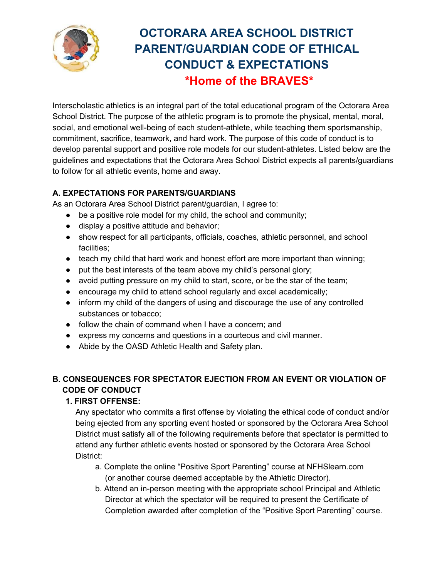

## **OCTORARA AREA SCHOOL DISTRICT PARENT/GUARDIAN CODE OF ETHICAL CONDUCT & EXPECTATIONS \*Home of the BRAVES\***

Interscholastic athletics is an integral part of the total educational program of the Octorara Area School District. The purpose of the athletic program is to promote the physical, mental, moral, social, and emotional well-being of each student-athlete, while teaching them sportsmanship, commitment, sacrifice, teamwork, and hard work. The purpose of this code of conduct is to develop parental support and positive role models for our student-athletes. Listed below are the guidelines and expectations that the Octorara Area School District expects all parents/guardians to follow for all athletic events, home and away.

## **A. EXPECTATIONS FOR PARENTS/GUARDIANS**

As an Octorara Area School District parent/guardian, I agree to:

- $\bullet$  be a positive role model for my child, the school and community;
- display a positive attitude and behavior;
- show respect for all participants, officials, coaches, athletic personnel, and school facilities;
- teach my child that hard work and honest effort are more important than winning;
- put the best interests of the team above my child's personal glory;
- avoid putting pressure on my child to start, score, or be the star of the team;
- encourage my child to attend school regularly and excel academically;
- inform my child of the dangers of using and discourage the use of any controlled substances or tobacco;
- follow the chain of command when I have a concern; and
- express my concerns and questions in a courteous and civil manner.
- Abide by the OASD Athletic Health and Safety plan.

## **B. CONSEQUENCES FOR SPECTATOR EJECTION FROM AN EVENT OR VIOLATION OF CODE OF CONDUCT**

## **1. FIRST OFFENSE:**

Any spectator who commits a first offense by violating the ethical code of conduct and/or being ejected from any sporting event hosted or sponsored by the Octorara Area School District must satisfy all of the following requirements before that spectator is permitted to attend any further athletic events hosted or sponsored by the Octorara Area School District:

- a. Complete the online "Positive Sport Parenting" course at NFHSlearn.com (or another course deemed acceptable by the Athletic Director).
- b. Attend an in-person meeting with the appropriate school Principal and Athletic Director at which the spectator will be required to present the Certificate of Completion awarded after completion of the "Positive Sport Parenting" course.